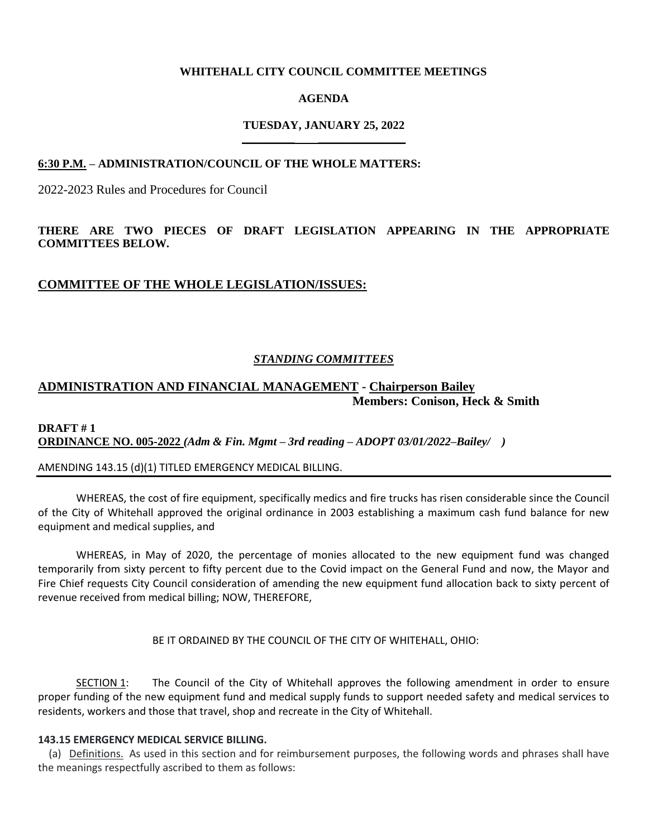### **WHITEHALL CITY COUNCIL COMMITTEE MEETINGS**

#### **AGENDA**

#### **TUESDAY, JANUARY 25, 2022 \_\_\_\_\_\_\_\_\_ \_\_\_\_\_\_\_\_\_\_\_\_\_\_\_**

#### **6:30 P.M. – ADMINISTRATION/COUNCIL OF THE WHOLE MATTERS:**

2022-2023 Rules and Procedures for Council

## **THERE ARE TWO PIECES OF DRAFT LEGISLATION APPEARING IN THE APPROPRIATE COMMITTEES BELOW.**

## **COMMITTEE OF THE WHOLE LEGISLATION/ISSUES:**

#### *STANDING COMMITTEES*

## **ADMINISTRATION AND FINANCIAL MANAGEMENT - Chairperson Bailey Members: Conison, Heck & Smith**

## **DRAFT # 1 ORDINANCE NO. 005-2022** *(Adm & Fin. Mgmt – 3rd reading – ADOPT 03/01/2022–Bailey/ )*

#### AMENDING 143.15 (d)(1) TITLED EMERGENCY MEDICAL BILLING.

WHEREAS, the cost of fire equipment, specifically medics and fire trucks has risen considerable since the Council of the City of Whitehall approved the original ordinance in 2003 establishing a maximum cash fund balance for new equipment and medical supplies, and

WHEREAS, in May of 2020, the percentage of monies allocated to the new equipment fund was changed temporarily from sixty percent to fifty percent due to the Covid impact on the General Fund and now, the Mayor and Fire Chief requests City Council consideration of amending the new equipment fund allocation back to sixty percent of revenue received from medical billing; NOW, THEREFORE,

BE IT ORDAINED BY THE COUNCIL OF THE CITY OF WHITEHALL, OHIO:

SECTION 1: The Council of the City of Whitehall approves the following amendment in order to ensure proper funding of the new equipment fund and medical supply funds to support needed safety and medical services to residents, workers and those that travel, shop and recreate in the City of Whitehall.

#### **143.15 EMERGENCY MEDICAL SERVICE BILLING.**

(a) Definitions. As used in this section and for reimbursement purposes, the following words and phrases shall have the meanings respectfully ascribed to them as follows: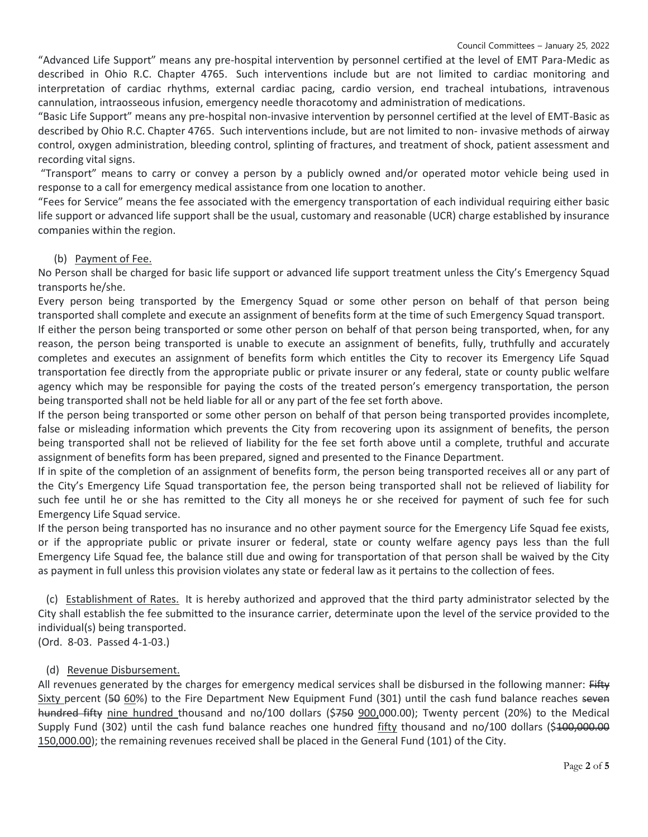"Advanced Life Support" means any pre-hospital intervention by personnel certified at the level of EMT Para-Medic as described in Ohio R.C. Chapter 4765. Such interventions include but are not limited to cardiac monitoring and interpretation of cardiac rhythms, external cardiac pacing, cardio version, end tracheal intubations, intravenous cannulation, intraosseous infusion, emergency needle thoracotomy and administration of medications.

"Basic Life Support" means any pre-hospital non-invasive intervention by personnel certified at the level of EMT-Basic as described by Ohio R.C. Chapter 4765. Such interventions include, but are not limited to non- invasive methods of airway control, oxygen administration, bleeding control, splinting of fractures, and treatment of shock, patient assessment and recording vital signs.

"Transport" means to carry or convey a person by a publicly owned and/or operated motor vehicle being used in response to a call for emergency medical assistance from one location to another.

"Fees for Service" means the fee associated with the emergency transportation of each individual requiring either basic life support or advanced life support shall be the usual, customary and reasonable (UCR) charge established by insurance companies within the region.

## (b) Payment of Fee.

No Person shall be charged for basic life support or advanced life support treatment unless the City's Emergency Squad transports he/she.

Every person being transported by the Emergency Squad or some other person on behalf of that person being transported shall complete and execute an assignment of benefits form at the time of such Emergency Squad transport.

If either the person being transported or some other person on behalf of that person being transported, when, for any reason, the person being transported is unable to execute an assignment of benefits, fully, truthfully and accurately completes and executes an assignment of benefits form which entitles the City to recover its Emergency Life Squad transportation fee directly from the appropriate public or private insurer or any federal, state or county public welfare agency which may be responsible for paying the costs of the treated person's emergency transportation, the person being transported shall not be held liable for all or any part of the fee set forth above.

If the person being transported or some other person on behalf of that person being transported provides incomplete, false or misleading information which prevents the City from recovering upon its assignment of benefits, the person being transported shall not be relieved of liability for the fee set forth above until a complete, truthful and accurate assignment of benefits form has been prepared, signed and presented to the Finance Department.

If in spite of the completion of an assignment of benefits form, the person being transported receives all or any part of the City's Emergency Life Squad transportation fee, the person being transported shall not be relieved of liability for such fee until he or she has remitted to the City all moneys he or she received for payment of such fee for such Emergency Life Squad service.

If the person being transported has no insurance and no other payment source for the Emergency Life Squad fee exists, or if the appropriate public or private insurer or federal, state or county welfare agency pays less than the full Emergency Life Squad fee, the balance still due and owing for transportation of that person shall be waived by the City as payment in full unless this provision violates any state or federal law as it pertains to the collection of fees.

 (c) Establishment of Rates. It is hereby authorized and approved that the third party administrator selected by the City shall establish the fee submitted to the insurance carrier, determinate upon the level of the service provided to the individual(s) being transported.

(Ord. 8-03. Passed 4-1-03.)

## (d) Revenue Disbursement.

All revenues generated by the charges for emergency medical services shall be disbursed in the following manner: Fifty Sixty percent (50 60%) to the Fire Department New Equipment Fund (301) until the cash fund balance reaches seven hundred fifty nine hundred thousand and no/100 dollars (\$750 900,000.00); Twenty percent (20%) to the Medical Supply Fund (302) until the cash fund balance reaches one hundred fifty thousand and no/100 dollars (\$400,000.00 150,000.00); the remaining revenues received shall be placed in the General Fund (101) of the City.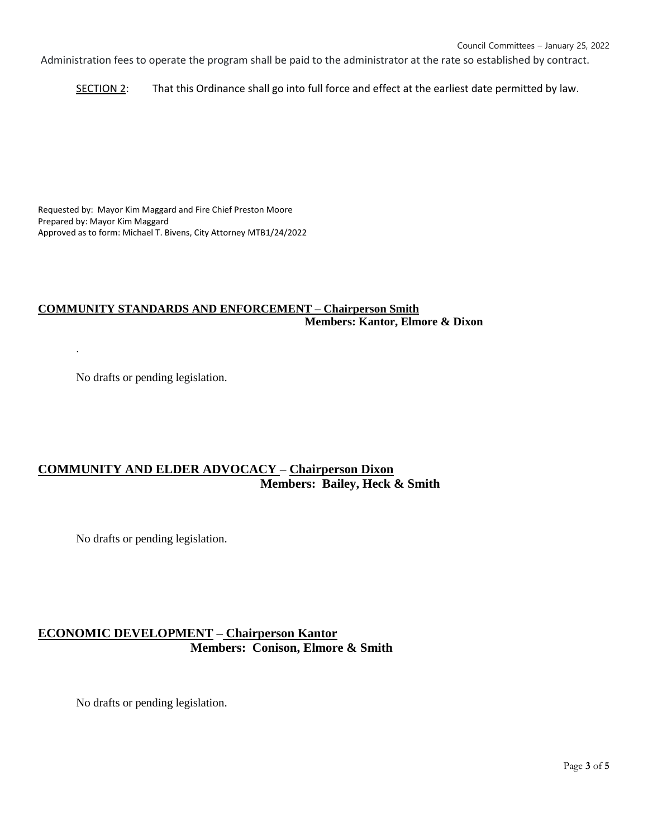Administration fees to operate the program shall be paid to the administrator at the rate so established by contract.

SECTION 2: That this Ordinance shall go into full force and effect at the earliest date permitted by law.

Requested by: Mayor Kim Maggard and Fire Chief Preston Moore Prepared by: Mayor Kim Maggard Approved as to form: Michael T. Bivens, City Attorney MTB1/24/2022

## **COMMUNITY STANDARDS AND ENFORCEMENT – Chairperson Smith Members: Kantor, Elmore & Dixon**

No drafts or pending legislation.

.

# **COMMUNITY AND ELDER ADVOCACY – Chairperson Dixon Members: Bailey, Heck & Smith**

No drafts or pending legislation.

# **ECONOMIC DEVELOPMENT – Chairperson Kantor Members: Conison, Elmore & Smith**

No drafts or pending legislation.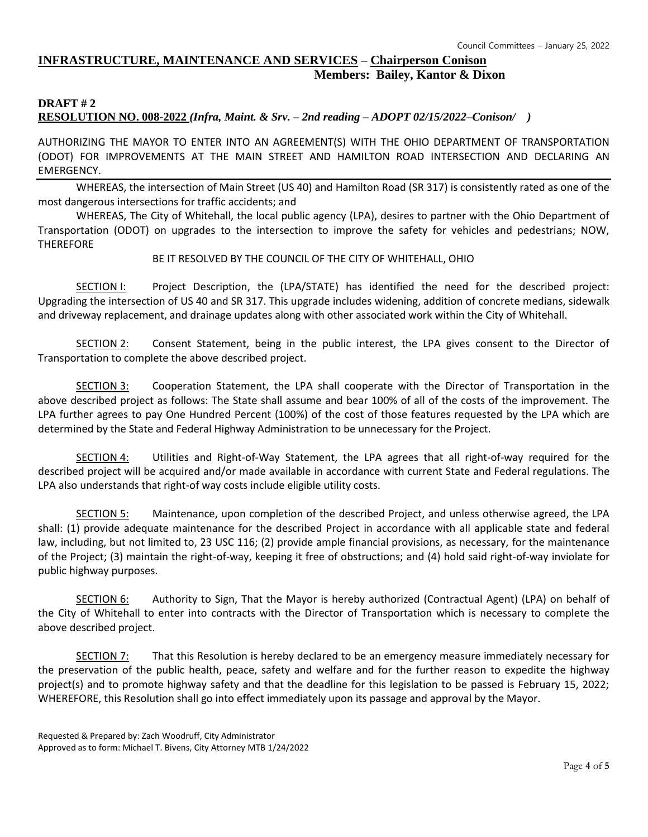## **INFRASTRUCTURE, MAINTENANCE AND SERVICES – Chairperson Conison Members: Bailey, Kantor & Dixon**

# **DRAFT # 2**

**RESOLUTION NO. 008-2022** *(Infra, Maint. & Srv. – 2nd reading – ADOPT 02/15/2022–Conison/ )*

AUTHORIZING THE MAYOR TO ENTER INTO AN AGREEMENT(S) WITH THE OHIO DEPARTMENT OF TRANSPORTATION (ODOT) FOR IMPROVEMENTS AT THE MAIN STREET AND HAMILTON ROAD INTERSECTION AND DECLARING AN EMERGENCY.

WHEREAS, the intersection of Main Street (US 40) and Hamilton Road (SR 317) is consistently rated as one of the most dangerous intersections for traffic accidents; and

WHEREAS, The City of Whitehall, the local public agency (LPA), desires to partner with the Ohio Department of Transportation (ODOT) on upgrades to the intersection to improve the safety for vehicles and pedestrians; NOW, **THEREFORE** 

## BE IT RESOLVED BY THE COUNCIL OF THE CITY OF WHITEHALL, OHIO

SECTION I: Project Description, the (LPA/STATE) has identified the need for the described project: Upgrading the intersection of US 40 and SR 317. This upgrade includes widening, addition of concrete medians, sidewalk and driveway replacement, and drainage updates along with other associated work within the City of Whitehall.

SECTION 2: Consent Statement, being in the public interest, the LPA gives consent to the Director of Transportation to complete the above described project.

SECTION 3: Cooperation Statement, the LPA shall cooperate with the Director of Transportation in the above described project as follows: The State shall assume and bear 100% of all of the costs of the improvement. The LPA further agrees to pay One Hundred Percent (100%) of the cost of those features requested by the LPA which are determined by the State and Federal Highway Administration to be unnecessary for the Project.

SECTION 4: Utilities and Right-of-Way Statement, the LPA agrees that all right-of-way required for the described project will be acquired and/or made available in accordance with current State and Federal regulations. The LPA also understands that right-of way costs include eligible utility costs.

SECTION 5: Maintenance, upon completion of the described Project, and unless otherwise agreed, the LPA shall: (1) provide adequate maintenance for the described Project in accordance with all applicable state and federal law, including, but not limited to, 23 USC 116; (2) provide ample financial provisions, as necessary, for the maintenance of the Project; (3) maintain the right-of-way, keeping it free of obstructions; and (4) hold said right-of-way inviolate for public highway purposes.

SECTION 6: Authority to Sign, That the Mayor is hereby authorized (Contractual Agent) (LPA) on behalf of the City of Whitehall to enter into contracts with the Director of Transportation which is necessary to complete the above described project.

SECTION 7: That this Resolution is hereby declared to be an emergency measure immediately necessary for the preservation of the public health, peace, safety and welfare and for the further reason to expedite the highway project(s) and to promote highway safety and that the deadline for this legislation to be passed is February 15, 2022; WHEREFORE, this Resolution shall go into effect immediately upon its passage and approval by the Mayor.

Requested & Prepared by: Zach Woodruff, City Administrator Approved as to form: Michael T. Bivens, City Attorney MTB 1/24/2022